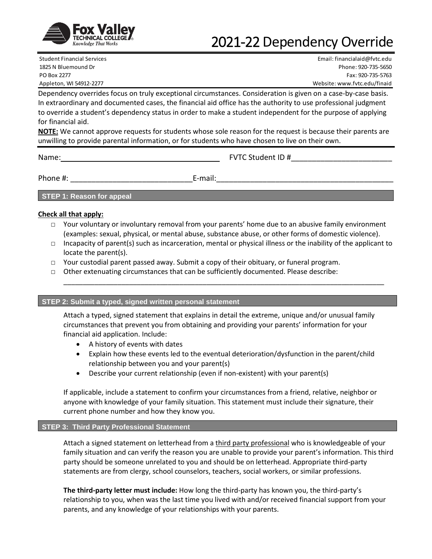

# 2021-22 Dependency Override

Student Financial Services Email: financialaid@fvtc.edu 1825 N Bluemound Dr Phone: 920-735-5650 PO Box 2277 Fax: 920-735-5763 Appleton, WI 54912-2277 Website: www.fvtc.edu/finaid

Dependency overrides focus on truly exceptional circumstances. Consideration is given on a case-by-case basis. In extraordinary and documented cases, the financial aid office has the authority to use professional judgment to override a student's dependency status in order to make a student independent for the purpose of applying for financial aid.

**NOTE:** We cannot approve requests for students whose sole reason for the request is because their parents are unwilling to provide parental information, or for students who have chosen to live on their own.

Name: FVTC Student ID #\_\_\_\_\_\_\_\_\_\_\_\_\_\_\_\_\_\_\_\_\_\_\_\_

Phone #:  $\blacksquare$ 

**STEP 1: Reason for appeal**

### **Check all that apply:**

- □ Your voluntary or involuntary removal from your parents' home due to an abusive family environment (examples: sexual, physical, or mental abuse, substance abuse, or other forms of domestic violence).
- $\Box$  Incapacity of parent(s) such as incarceration, mental or physical illness or the inability of the applicant to locate the parent(s).

\_\_\_\_\_\_\_\_\_\_\_\_\_\_\_\_\_\_\_\_\_\_\_\_\_\_\_\_\_\_\_\_\_\_\_\_\_\_\_\_\_\_\_\_\_\_\_\_\_\_\_\_\_\_\_\_\_\_\_\_\_\_\_\_\_\_\_\_\_\_\_\_\_\_\_\_\_\_\_\_\_\_\_

- $\Box$  Your custodial parent passed away. Submit a copy of their obituary, or funeral program.
- □ Other extenuating circumstances that can be sufficiently documented. Please describe:

### **STEP 2: Submit a typed, signed written personal statement**

Attach a typed, signed statement that explains in detail the extreme, unique and/or unusual family circumstances that prevent you from obtaining and providing your parents' information for your financial aid application. Include:

- A history of events with dates
- Explain how these events led to the eventual deterioration/dysfunction in the parent/child relationship between you and your parent(s)
- Describe your current relationship (even if non-existent) with your parent(s)

If applicable, include a statement to confirm your circumstances from a friend, relative, neighbor or anyone with knowledge of your family situation. This statement must include their signature, their current phone number and how they know you.

### **STEP 3: Third Party Professional Statement**

Attach a signed statement on letterhead from a third party professional who is knowledgeable of your family situation and can verify the reason you are unable to provide your parent's information. This third party should be someone unrelated to you and should be on letterhead. Appropriate third-party statements are from clergy, school counselors, teachers, social workers, or similar professions.

**The third-party letter must include:** How long the third-party has known you, the third-party's relationship to you, when was the last time you lived with and/or received financial support from your parents, and any knowledge of your relationships with your parents.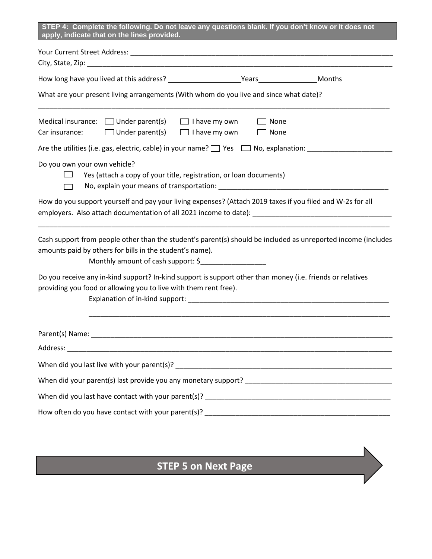| What are your present living arrangements (With whom do you live and since what date)?                                                                                                                                           |                                             |  |
|----------------------------------------------------------------------------------------------------------------------------------------------------------------------------------------------------------------------------------|---------------------------------------------|--|
| Medical insurance: $\Box$ Under parent(s) $\Box$ I have my own<br>$\Box$ Under parent(s)<br>Car insurance:                                                                                                                       | None<br>$\Box$ I have my own<br>$\Box$ None |  |
| Are the utilities (i.e. gas, electric, cable) in your name? $\Box$ Yes $\Box$ No, explanation:                                                                                                                                   |                                             |  |
| Do you own your own vehicle?<br>Yes (attach a copy of your title, registration, or loan documents)                                                                                                                               |                                             |  |
| How do you support yourself and pay your living expenses? (Attach 2019 taxes if you filed and W-2s for all                                                                                                                       |                                             |  |
| Cash support from people other than the student's parent(s) should be included as unreported income (includes<br>amounts paid by others for bills in the student's name).<br>Monthly amount of cash support: \$_________________ |                                             |  |
| Do you receive any in-kind support? In-kind support is support other than money (i.e. friends or relatives<br>providing you food or allowing you to live with them rent free).                                                   |                                             |  |
| Parent(s) Name: Name: Name: Name: Name: Name: Name: Name: Name: Name: Name: Name: Name: Name: Name: Name: Name: Name: Name: Name: Name: Name: Name: Name: Name: Name: Name: Name: Name: Name: Name: Name: Name: Name: Name: Na   |                                             |  |
| Address: North Commission and Commission and Commission and Commission and Commission and Commission and Commission                                                                                                              |                                             |  |
|                                                                                                                                                                                                                                  |                                             |  |
|                                                                                                                                                                                                                                  |                                             |  |
|                                                                                                                                                                                                                                  |                                             |  |
|                                                                                                                                                                                                                                  |                                             |  |

### **STEP 5 on Next Page**